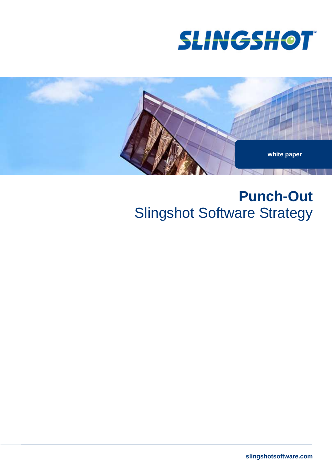



# **Punch-Out** Slingshot Software Strategy

**slingshotsoftware.com**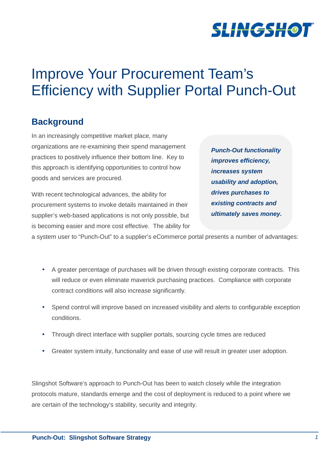

# Improve Your Procurement Team's Efficiency with Supplier Portal Punch-Out

## **Background**

In an increasingly competitive market place, many organizations are re-examining their spend management practices to positively influence their bottom line. Key to this approach is identifying opportunities to control how goods and services are procured.

With recent technological advances, the ability for procurement systems to invoke details maintained in their supplier's web-based applications is not only possible, but is becoming easier and more cost effective. The ability for **Punch-Out functionality improves efficiency, increases system usability and adoption, drives purchases to existing contracts and ultimately saves money.**

a system user to "Punch-Out" to a supplier's eCommerce portal presents a number of advantages:

- A greater percentage of purchases will be driven through existing corporate contracts. This will reduce or even eliminate maverick purchasing practices. Compliance with corporate contract conditions will also increase significantly.
- Spend control will improve based on increased visibility and alerts to configurable exception conditions.
- Through direct interface with supplier portals, sourcing cycle times are reduced
- Greater system intuity, functionality and ease of use will result in greater user adoption.

Slingshot Software's approach to Punch-Out has been to watch closely while the integration protocols mature, standards emerge and the cost of deployment is reduced to a point where we are certain of the technology's stability, security and integrity.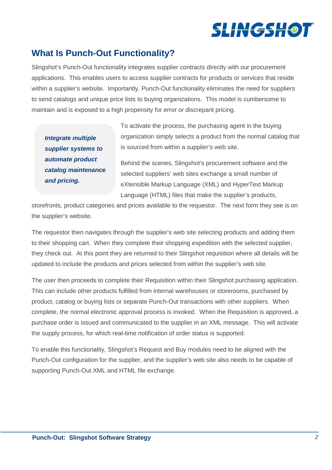

## **What Is Punch-Out Functionality?**

Slingshot's Punch-Out functionality integrates supplier contracts directly with our procurement applications. This enables users to access supplier contracts for products or services that reside within a supplier's website. Importantly, Punch-Out functionality eliminates the need for suppliers to send catalogs and unique price lists to buying organizations. This model is cumbersome to maintain and is exposed to a high propensity for error or discrepant pricing.

**Integrate multiple supplier systems to automate product catalog maintenance and pricing.**

To activate the process, the purchasing agent in the buying organization simply selects a product from the normal catalog that is sourced from within a supplier's web site.

Behind the scenes, Slingshot's procurement software and the selected suppliers' web sites exchange a small number of eXtensible Markup Language (XML) and HyperText Markup Language (HTML) files that make the supplier's products,

storefronts, product categories and prices available to the requestor. The next form they see is on the supplier's website.

The requestor then navigates through the supplier's web site selecting products and adding them to their shopping cart. When they complete their shopping expedition with the selected supplier, they check out. At this point they are returned to their Slingshot requisition where all details will be updated to include the products and prices selected from within the supplier's web site.

The user then proceeds to complete their Requisition within their Slingshot purchasing application. This can include other products fulfilled from internal warehouses or storerooms, purchased by product, catalog or buying lists or separate Punch-Out transactions with other suppliers. When complete, the normal electronic approval process is invoked. When the Requisition is approved, a purchase order is issued and communicated to the supplier in an XML message. This will activate the supply process, for which real-time notification of order status is supported.

To enable this functionality, Slingshot's Request and Buy modules need to be aligned with the Punch-Out configuration for the supplier, and the supplier's web site also needs to be capable of supporting Punch-Out XML and HTML file exchange.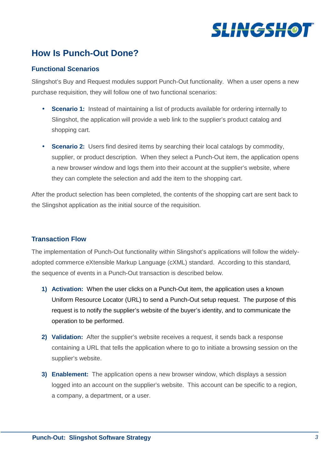

# **How Is Punch-Out Done?**

### **Functional Scenarios**

Slingshot's Buy and Request modules support Punch-Out functionality. When a user opens a new purchase requisition, they will follow one of two functional scenarios:

- **Scenario 1:** Instead of maintaining a list of products available for ordering internally to Slingshot, the application will provide a web link to the supplier's product catalog and shopping cart.
- **Scenario 2:** Users find desired items by searching their local catalogs by commodity, supplier, or product description. When they select a Punch-Out item, the application opens a new browser window and logs them into their account at the supplier's website, where they can complete the selection and add the item to the shopping cart.

After the product selection has been completed, the contents of the shopping cart are sent back to the Slingshot application as the initial source of the requisition.

### **Transaction Flow**

The implementation of Punch-Out functionality within Slingshot's applications will follow the widelyadopted commerce eXtensible Markup Language (cXML) standard. According to this standard, the sequence of events in a Punch-Out transaction is described below.

- **1) Activation:** When the user clicks on a Punch-Out item, the application uses a known Uniform Resource Locator (URL) to send a Punch-Out setup request. The purpose of this request is to notify the supplier's website of the buyer's identity, and to communicate the operation to be performed.
- **2) Validation:** After the supplier's website receives a request, it sends back a response containing a URL that tells the application where to go to initiate a browsing session on the supplier's website.
- **3) Enablement:** The application opens a new browser window, which displays a session logged into an account on the supplier's website. This account can be specific to a region, a company, a department, or a user.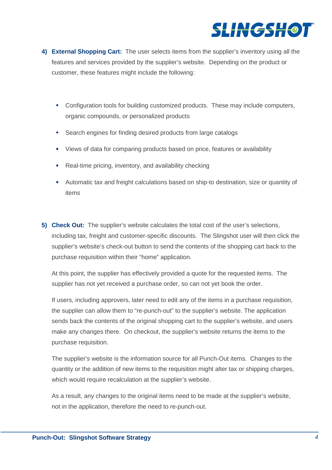

- **4) External Shopping Cart:** The user selects items from the supplier's inventory using all the features and services provided by the supplier's website. Depending on the product or customer, these features might include the following:
	- Configuration tools for building customized products. These may include computers, organic compounds, or personalized products
	- Search engines for finding desired products from large catalogs
	- Views of data for comparing products based on price, features or availability
	- Real-time pricing, inventory, and availability checking
	- Automatic tax and freight calculations based on ship-to destination, size or quantity of items
- **5) Check Out:** The supplier's website calculates the total cost of the user's selections, including tax, freight and customer-specific discounts. The Slingshot user will then click the supplier's website's check-out button to send the contents of the shopping cart back to the purchase requisition within their "home" application.

At this point, the supplier has effectively provided a quote for the requested items. The supplier has not yet received a purchase order, so can not yet book the order.

If users, including approvers, later need to edit any of the items in a purchase requisition, the supplier can allow them to "re-punch-out" to the supplier's website. The application sends back the contents of the original shopping cart to the supplier's website, and users make any changes there. On checkout, the supplier's website returns the items to the purchase requisition.

The supplier's website is the information source for all Punch-Out items. Changes to the quantity or the addition of new items to the requisition might alter tax or shipping charges, which would require recalculation at the supplier's website.

As a result, any changes to the original items need to be made at the supplier's website, not in the application, therefore the need to re-punch-out.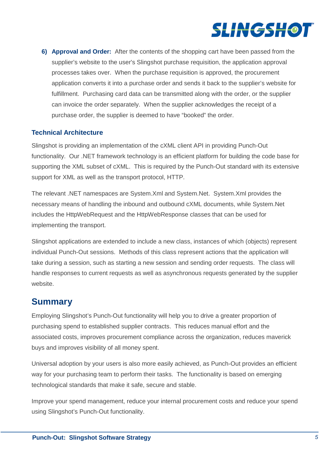

**6) Approval and Order:** After the contents of the shopping cart have been passed from the supplier's website to the user's Slingshot purchase requisition, the application approval processes takes over. When the purchase requisition is approved, the procurement application converts it into a purchase order and sends it back to the supplier's website for fulfillment. Purchasing card data can be transmitted along with the order, or the supplier can invoice the order separately. When the supplier acknowledges the receipt of a purchase order, the supplier is deemed to have "booked" the order.

## **Technical Architecture**

Slingshot is providing an implementation of the cXML client API in providing Punch-Out functionality. Our .NET framework technology is an efficient platform for building the code base for supporting the XML subset of cXML. This is required by the Punch-Out standard with its extensive support for XML as well as the transport protocol, HTTP.

The relevant .NET namespaces are System.Xml and System.Net. System.Xml provides the necessary means of handling the inbound and outbound cXML documents, while System.Net includes the HttpWebRequest and the HttpWebResponse classes that can be used for implementing the transport.

Slingshot applications are extended to include a new class, instances of which (objects) represent individual Punch-Out sessions. Methods of this class represent actions that the application will take during a session, such as starting a new session and sending order requests. The class will handle responses to current requests as well as asynchronous requests generated by the supplier website.

## **Summary**

Employing Slingshot's Punch-Out functionality will help you to drive a greater proportion of purchasing spend to established supplier contracts. This reduces manual effort and the associated costs, improves procurement compliance across the organization, reduces maverick buys and improves visibility of all money spent.

Universal adoption by your users is also more easily achieved, as Punch-Out provides an efficient way for your purchasing team to perform their tasks. The functionality is based on emerging technological standards that make it safe, secure and stable.

Improve your spend management, reduce your internal procurement costs and reduce your spend using Slingshot's Punch-Out functionality.